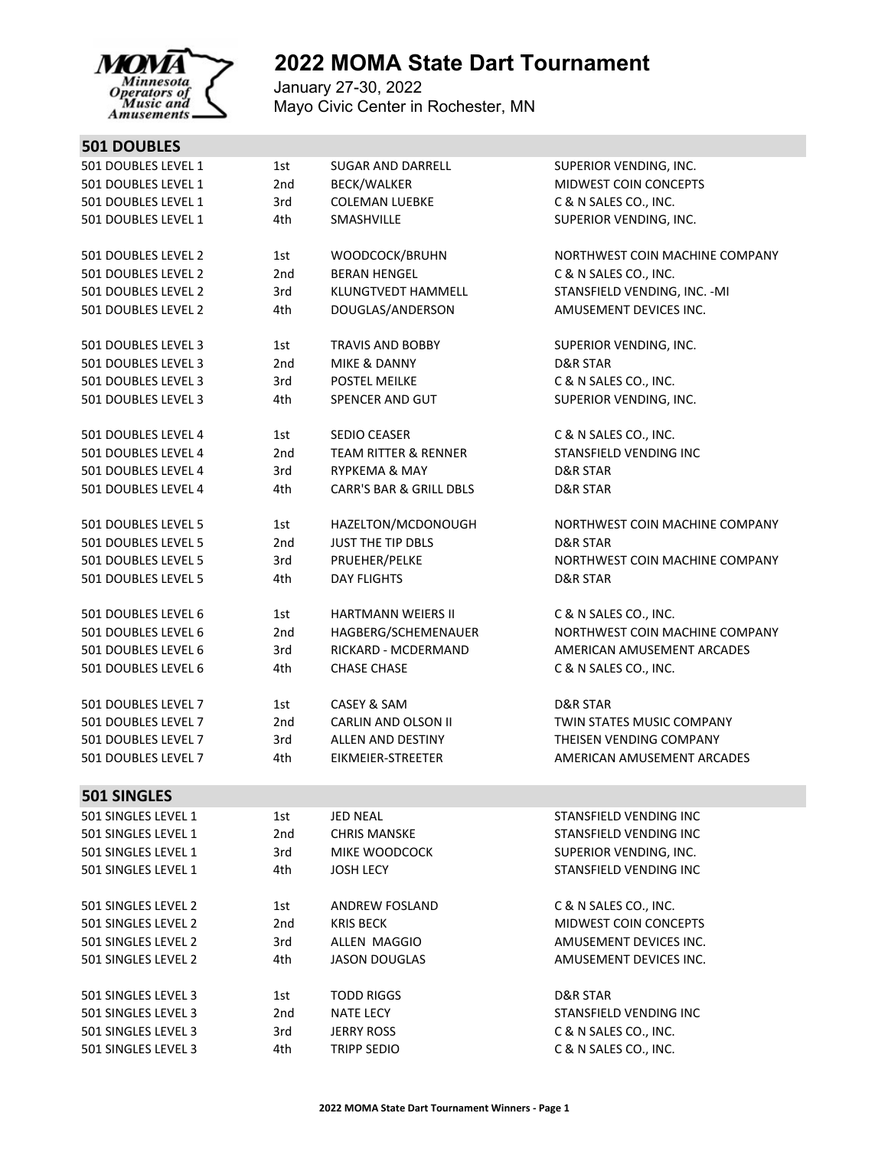

## **2022 MOMA State Dart Tournament**

January 27-30, 2022 Mayo Civic Center in Rochester, MN

| 501 DOUBLES LEVEL 1 | 1st | <b>SUGAR AND DARRELL</b>           | SUPERIOR VENDING, INC.         |
|---------------------|-----|------------------------------------|--------------------------------|
| 501 DOUBLES LEVEL 1 | 2nd | BECK/WALKER                        | MIDWEST COIN CONCEPTS          |
| 501 DOUBLES LEVEL 1 | 3rd | <b>COLEMAN LUEBKE</b>              | C & N SALES CO., INC.          |
| 501 DOUBLES LEVEL 1 | 4th | SMASHVILLE                         | SUPERIOR VENDING, INC.         |
| 501 DOUBLES LEVEL 2 | 1st | WOODCOCK/BRUHN                     | NORTHWEST COIN MACHINE COMPANY |
| 501 DOUBLES LEVEL 2 | 2nd | <b>BERAN HENGEL</b>                | C & N SALES CO., INC.          |
| 501 DOUBLES LEVEL 2 | 3rd | KLUNGTVEDT HAMMELL                 | STANSFIELD VENDING, INC. - MI  |
| 501 DOUBLES LEVEL 2 | 4th | DOUGLAS/ANDERSON                   | AMUSEMENT DEVICES INC.         |
|                     |     |                                    |                                |
| 501 DOUBLES LEVEL 3 | 1st | <b>TRAVIS AND BOBBY</b>            | SUPERIOR VENDING, INC.         |
| 501 DOUBLES LEVEL 3 | 2nd | MIKE & DANNY                       | <b>D&amp;R STAR</b>            |
| 501 DOUBLES LEVEL 3 | 3rd | <b>POSTEL MEILKE</b>               | C & N SALES CO., INC.          |
| 501 DOUBLES LEVEL 3 | 4th | SPENCER AND GUT                    | SUPERIOR VENDING, INC.         |
| 501 DOUBLES LEVEL 4 | 1st | SEDIO CEASER                       | C & N SALES CO., INC.          |
| 501 DOUBLES LEVEL 4 | 2nd | <b>TEAM RITTER &amp; RENNER</b>    | STANSFIELD VENDING INC         |
| 501 DOUBLES LEVEL 4 | 3rd | <b>RYPKEMA &amp; MAY</b>           | D&R STAR                       |
| 501 DOUBLES LEVEL 4 | 4th | <b>CARR'S BAR &amp; GRILL DBLS</b> | D&R STAR                       |
| 501 DOUBLES LEVEL 5 | 1st | HAZELTON/MCDONOUGH                 | NORTHWEST COIN MACHINE COMPANY |
| 501 DOUBLES LEVEL 5 | 2nd | JUST THE TIP DBLS                  | <b>D&amp;R STAR</b>            |
| 501 DOUBLES LEVEL 5 | 3rd | PRUEHER/PELKE                      | NORTHWEST COIN MACHINE COMPANY |
| 501 DOUBLES LEVEL 5 | 4th | <b>DAY FLIGHTS</b>                 | D&R STAR                       |
| 501 DOUBLES LEVEL 6 | 1st | HARTMANN WEIERS II                 | C & N SALES CO., INC.          |
| 501 DOUBLES LEVEL 6 | 2nd | HAGBERG/SCHEMENAUER                | NORTHWEST COIN MACHINE COMPANY |
| 501 DOUBLES LEVEL 6 | 3rd | RICKARD - MCDERMAND                | AMERICAN AMUSEMENT ARCADES     |
| 501 DOUBLES LEVEL 6 | 4th | <b>CHASE CHASE</b>                 | C & N SALES CO., INC.          |
| 501 DOUBLES LEVEL 7 | 1st | CASEY & SAM                        | <b>D&amp;R STAR</b>            |
| 501 DOUBLES LEVEL 7 | 2nd | <b>CARLIN AND OLSON II</b>         | TWIN STATES MUSIC COMPANY      |
| 501 DOUBLES LEVEL 7 | 3rd | ALLEN AND DESTINY                  | THEISEN VENDING COMPANY        |
| 501 DOUBLES LEVEL 7 | 4th | EIKMEIER-STREETER                  | AMERICAN AMUSEMENT ARCADES     |
|                     |     |                                    |                                |
| <b>501 SINGLES</b>  |     |                                    |                                |
| 501 SINGLES LEVEL 1 | 1st | <b>JED NEAL</b>                    | STANSFIELD VENDING INC         |
| 501 SINGLES LEVEL 1 | 2nd | <b>CHRIS MANSKE</b>                | STANSFIELD VENDING INC         |
| 501 SINGLES LEVEL 1 | 3rd | MIKE WOODCOCK                      | SUPERIOR VENDING, INC.         |
| 501 SINGLES LEVEL 1 | 4th | <b>JOSH LECY</b>                   | STANSFIELD VENDING INC         |
| 501 SINGLES LEVEL 2 | 1st | <b>ANDREW FOSLAND</b>              | C & N SALES CO., INC.          |
| 501 SINGLES LEVEL 2 | 2nd | <b>KRIS BECK</b>                   | MIDWEST COIN CONCEPTS          |
| 501 SINGLES LEVEL 2 | 3rd | ALLEN MAGGIO                       | AMUSEMENT DEVICES INC.         |
| 501 SINGLES LEVEL 2 | 4th | <b>JASON DOUGLAS</b>               | AMUSEMENT DEVICES INC.         |
| 501 SINGLES LEVEL 3 | 1st | <b>TODD RIGGS</b>                  | D&R STAR                       |
| 501 SINGLES LEVEL 3 | 2nd | <b>NATE LECY</b>                   | STANSFIELD VENDING INC         |
| 501 SINGLES LEVEL 3 | 3rd | <b>JERRY ROSS</b>                  | C & N SALES CO., INC.          |
| 501 SINGLES LEVEL 3 | 4th | <b>TRIPP SEDIO</b>                 | C & N SALES CO., INC.          |
|                     |     |                                    |                                |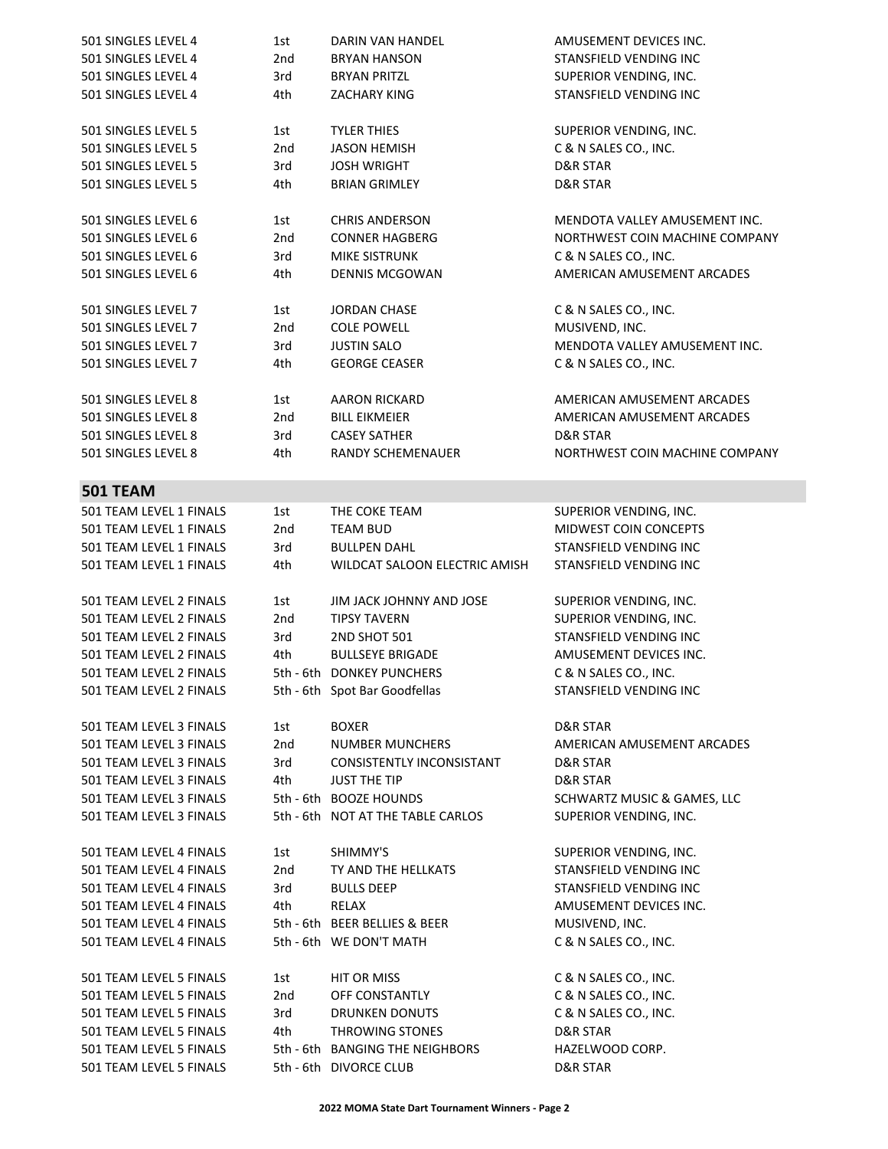| 501 SINGLES LEVEL 4                                | 1st | DARIN VAN HANDEL                                          | AMUSEMENT DEVICES INC.         |
|----------------------------------------------------|-----|-----------------------------------------------------------|--------------------------------|
| 501 SINGLES LEVEL 4                                | 2nd | <b>BRYAN HANSON</b>                                       | STANSFIELD VENDING INC         |
| 501 SINGLES LEVEL 4                                | 3rd | <b>BRYAN PRITZL</b>                                       | SUPERIOR VENDING, INC.         |
| 501 SINGLES LEVEL 4                                | 4th | <b>ZACHARY KING</b>                                       | STANSFIELD VENDING INC         |
|                                                    |     |                                                           |                                |
| 501 SINGLES LEVEL 5                                | 1st | <b>TYLER THIES</b>                                        | SUPERIOR VENDING, INC.         |
| 501 SINGLES LEVEL 5                                | 2nd | <b>JASON HEMISH</b>                                       |                                |
|                                                    |     |                                                           | C & N SALES CO., INC.          |
| 501 SINGLES LEVEL 5                                | 3rd | <b>JOSH WRIGHT</b>                                        | D&R STAR                       |
| 501 SINGLES LEVEL 5                                | 4th | <b>BRIAN GRIMLEY</b>                                      | <b>D&amp;R STAR</b>            |
|                                                    |     |                                                           |                                |
| 501 SINGLES LEVEL 6                                | 1st | <b>CHRIS ANDERSON</b>                                     | MENDOTA VALLEY AMUSEMENT INC.  |
| 501 SINGLES LEVEL 6                                | 2nd | <b>CONNER HAGBERG</b>                                     | NORTHWEST COIN MACHINE COMPANY |
| 501 SINGLES LEVEL 6                                | 3rd | <b>MIKE SISTRUNK</b>                                      | C & N SALES CO., INC.          |
| 501 SINGLES LEVEL 6                                | 4th | <b>DENNIS MCGOWAN</b>                                     | AMERICAN AMUSEMENT ARCADES     |
|                                                    |     |                                                           |                                |
| 501 SINGLES LEVEL 7                                | 1st | <b>JORDAN CHASE</b>                                       | C & N SALES CO., INC.          |
| 501 SINGLES LEVEL 7                                | 2nd | <b>COLE POWELL</b>                                        | MUSIVEND, INC.                 |
| 501 SINGLES LEVEL 7                                | 3rd | <b>JUSTIN SALO</b>                                        | MENDOTA VALLEY AMUSEMENT INC.  |
| 501 SINGLES LEVEL 7                                | 4th | <b>GEORGE CEASER</b>                                      | C & N SALES CO., INC.          |
|                                                    |     |                                                           |                                |
| 501 SINGLES LEVEL 8                                | 1st | <b>AARON RICKARD</b>                                      | AMERICAN AMUSEMENT ARCADES     |
| 501 SINGLES LEVEL 8                                | 2nd | <b>BILL EIKMEIER</b>                                      | AMERICAN AMUSEMENT ARCADES     |
| 501 SINGLES LEVEL 8                                | 3rd | <b>CASEY SATHER</b>                                       | D&R STAR                       |
|                                                    |     |                                                           | NORTHWEST COIN MACHINE COMPANY |
| 501 SINGLES LEVEL 8                                | 4th | RANDY SCHEMENAUER                                         |                                |
|                                                    |     |                                                           |                                |
| <b>501 TEAM</b>                                    |     |                                                           |                                |
| 501 TEAM LEVEL 1 FINALS                            | 1st | THE COKE TEAM                                             | SUPERIOR VENDING, INC.         |
| 501 TEAM LEVEL 1 FINALS                            | 2nd | <b>TEAM BUD</b>                                           | MIDWEST COIN CONCEPTS          |
| 501 TEAM LEVEL 1 FINALS                            | 3rd | <b>BULLPEN DAHL</b>                                       | STANSFIELD VENDING INC         |
| 501 TEAM LEVEL 1 FINALS                            | 4th | WILDCAT SALOON ELECTRIC AMISH                             | STANSFIELD VENDING INC         |
|                                                    |     |                                                           |                                |
|                                                    |     |                                                           |                                |
| 501 TEAM LEVEL 2 FINALS                            | 1st | JIM JACK JOHNNY AND JOSE                                  | SUPERIOR VENDING, INC.         |
| 501 TEAM LEVEL 2 FINALS                            | 2nd | <b>TIPSY TAVERN</b>                                       | SUPERIOR VENDING, INC.         |
| 501 TEAM LEVEL 2 FINALS                            | 3rd | 2ND SHOT 501                                              | STANSFIELD VENDING INC         |
| 501 TEAM LEVEL 2 FINALS                            | 4th | <b>BULLSEYE BRIGADE</b>                                   | AMUSEMENT DEVICES INC.         |
|                                                    |     |                                                           |                                |
| 501 TEAM LEVEL 2 FINALS                            |     | 5th - 6th DONKEY PUNCHERS                                 | C & N SALES CO., INC.          |
| 501 TEAM LEVEL 2 FINALS                            |     | 5th - 6th Spot Bar Goodfellas                             | STANSFIELD VENDING INC         |
|                                                    |     |                                                           |                                |
| 501 TEAM LEVEL 3 FINALS                            | 1st | <b>BOXER</b>                                              | D&R STAR                       |
| 501 TEAM LEVEL 3 FINALS                            | 2nd | <b>NUMBER MUNCHERS</b>                                    | AMERICAN AMUSEMENT ARCADES     |
| 501 TEAM LEVEL 3 FINALS                            | 3rd | CONSISTENTLY INCONSISTANT                                 | D&R STAR                       |
| 501 TEAM LEVEL 3 FINALS                            | 4th | <b>JUST THE TIP</b>                                       | <b>D&amp;R STAR</b>            |
| 501 TEAM LEVEL 3 FINALS                            |     | 5th - 6th BOOZE HOUNDS                                    | SCHWARTZ MUSIC & GAMES, LLC    |
| 501 TEAM LEVEL 3 FINALS                            |     | 5th - 6th NOT AT THE TABLE CARLOS                         | SUPERIOR VENDING, INC.         |
|                                                    |     |                                                           |                                |
| 501 TEAM LEVEL 4 FINALS                            | 1st | SHIMMY'S                                                  | SUPERIOR VENDING, INC.         |
| 501 TEAM LEVEL 4 FINALS                            | 2nd | TY AND THE HELLKATS                                       | STANSFIELD VENDING INC         |
| 501 TEAM LEVEL 4 FINALS                            | 3rd | <b>BULLS DEEP</b>                                         | STANSFIELD VENDING INC         |
| 501 TEAM LEVEL 4 FINALS                            | 4th | RELAX                                                     | AMUSEMENT DEVICES INC.         |
| 501 TEAM LEVEL 4 FINALS                            |     | 5th - 6th BEER BELLIES & BEER                             | MUSIVEND, INC.                 |
| 501 TEAM LEVEL 4 FINALS                            |     | 5th - 6th WE DON'T MATH                                   | C & N SALES CO., INC.          |
|                                                    |     |                                                           |                                |
| 501 TEAM LEVEL 5 FINALS                            | 1st | HIT OR MISS                                               | C & N SALES CO., INC.          |
| 501 TEAM LEVEL 5 FINALS                            | 2nd | OFF CONSTANTLY                                            |                                |
|                                                    |     |                                                           | C & N SALES CO., INC.          |
| 501 TEAM LEVEL 5 FINALS                            | 3rd | DRUNKEN DONUTS                                            | C & N SALES CO., INC.          |
| 501 TEAM LEVEL 5 FINALS                            | 4th | THROWING STONES                                           | D&R STAR                       |
| 501 TEAM LEVEL 5 FINALS<br>501 TEAM LEVEL 5 FINALS |     | 5th - 6th BANGING THE NEIGHBORS<br>5th - 6th DIVORCE CLUB | HAZELWOOD CORP.<br>D&R STAR    |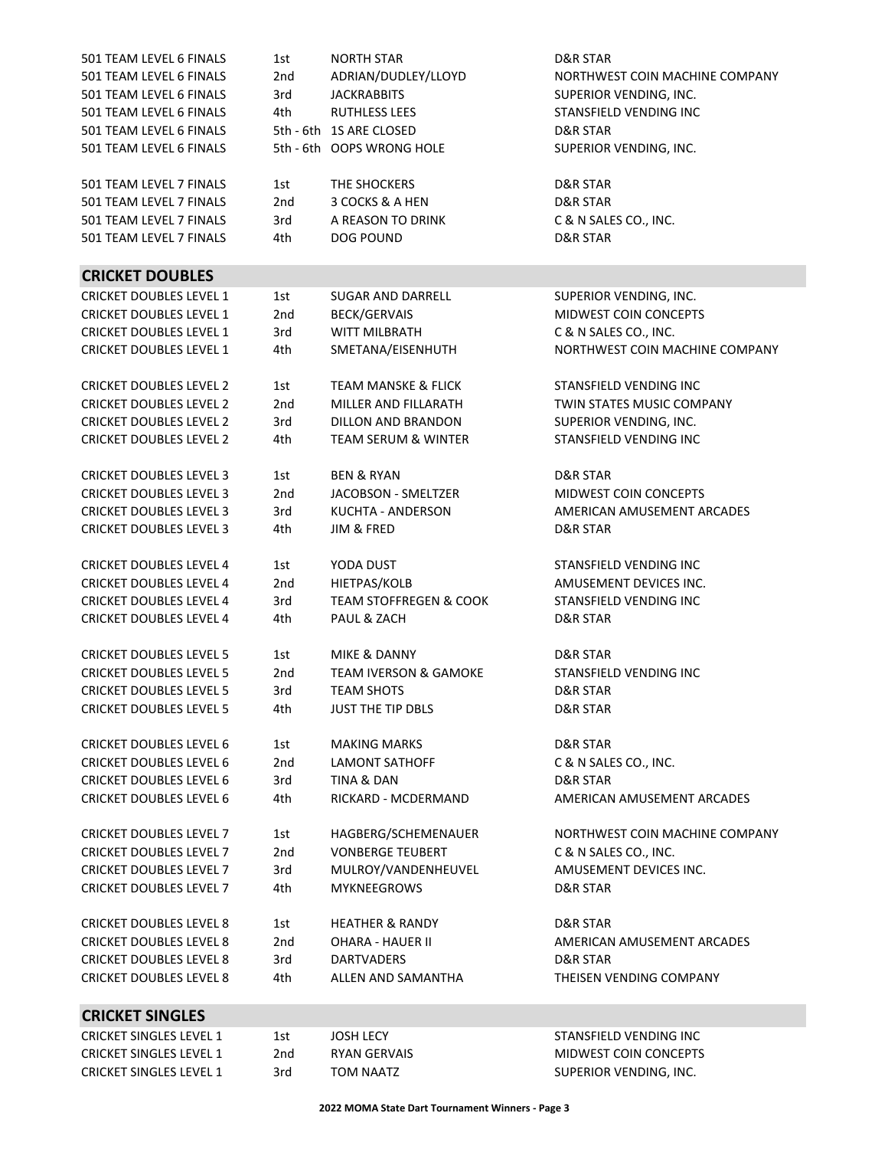| 501 TEAM LEVEL 6 FINALS        | 1st | <b>NORTH STAR</b>                 | <b>D&amp;R STAR</b>            |
|--------------------------------|-----|-----------------------------------|--------------------------------|
| 501 TEAM LEVEL 6 FINALS        | 2nd | ADRIAN/DUDLEY/LLOYD               | NORTHWEST COIN MACHINE COMPANY |
| 501 TEAM LEVEL 6 FINALS        | 3rd | <b>JACKRABBITS</b>                | SUPERIOR VENDING, INC.         |
| 501 TEAM LEVEL 6 FINALS        | 4th | <b>RUTHLESS LEES</b>              | STANSFIELD VENDING INC         |
| 501 TEAM LEVEL 6 FINALS        |     | 5th - 6th 1S ARE CLOSED           | <b>D&amp;R STAR</b>            |
| 501 TEAM LEVEL 6 FINALS        |     | 5th - 6th OOPS WRONG HOLE         | SUPERIOR VENDING, INC.         |
|                                |     |                                   |                                |
|                                |     |                                   |                                |
| 501 TEAM LEVEL 7 FINALS        | 1st | THE SHOCKERS                      | <b>D&amp;R STAR</b>            |
| 501 TEAM LEVEL 7 FINALS        | 2nd | 3 COCKS & A HEN                   | <b>D&amp;R STAR</b>            |
| 501 TEAM LEVEL 7 FINALS        | 3rd | A REASON TO DRINK                 | C & N SALES CO., INC.          |
| 501 TEAM LEVEL 7 FINALS        | 4th | <b>DOG POUND</b>                  | D&R STAR                       |
| <b>CRICKET DOUBLES</b>         |     |                                   |                                |
|                                |     |                                   |                                |
| <b>CRICKET DOUBLES LEVEL 1</b> | 1st | SUGAR AND DARRELL                 | SUPERIOR VENDING, INC.         |
| <b>CRICKET DOUBLES LEVEL 1</b> | 2nd | <b>BECK/GERVAIS</b>               | <b>MIDWEST COIN CONCEPTS</b>   |
| <b>CRICKET DOUBLES LEVEL 1</b> | 3rd | <b>WITT MILBRATH</b>              | C & N SALES CO., INC.          |
| <b>CRICKET DOUBLES LEVEL 1</b> | 4th | SMETANA/EISENHUTH                 | NORTHWEST COIN MACHINE COMPANY |
|                                |     | <b>TEAM MANSKE &amp; FLICK</b>    | STANSFIELD VENDING INC         |
| <b>CRICKET DOUBLES LEVEL 2</b> | 1st |                                   |                                |
| <b>CRICKET DOUBLES LEVEL 2</b> | 2nd | MILLER AND FILLARATH              | TWIN STATES MUSIC COMPANY      |
| <b>CRICKET DOUBLES LEVEL 2</b> | 3rd | DILLON AND BRANDON                | SUPERIOR VENDING, INC.         |
| <b>CRICKET DOUBLES LEVEL 2</b> | 4th | <b>TEAM SERUM &amp; WINTER</b>    | STANSFIELD VENDING INC         |
| <b>CRICKET DOUBLES LEVEL 3</b> | 1st | <b>BEN &amp; RYAN</b>             | <b>D&amp;R STAR</b>            |
| <b>CRICKET DOUBLES LEVEL 3</b> | 2nd | JACOBSON - SMELTZER               | <b>MIDWEST COIN CONCEPTS</b>   |
|                                |     |                                   |                                |
| <b>CRICKET DOUBLES LEVEL 3</b> | 3rd | <b>KUCHTA - ANDERSON</b>          | AMERICAN AMUSEMENT ARCADES     |
| <b>CRICKET DOUBLES LEVEL 3</b> | 4th | JIM & FRED                        | D&R STAR                       |
| <b>CRICKET DOUBLES LEVEL 4</b> | 1st | YODA DUST                         | STANSFIELD VENDING INC         |
| <b>CRICKET DOUBLES LEVEL 4</b> | 2nd | HIETPAS/KOLB                      | AMUSEMENT DEVICES INC.         |
| <b>CRICKET DOUBLES LEVEL 4</b> | 3rd | <b>TEAM STOFFREGEN &amp; COOK</b> | STANSFIELD VENDING INC         |
| <b>CRICKET DOUBLES LEVEL 4</b> | 4th | PAUL & ZACH                       | <b>D&amp;R STAR</b>            |
|                                |     |                                   |                                |
| <b>CRICKET DOUBLES LEVEL 5</b> | 1st | MIKE & DANNY                      | D&R STAR                       |
| <b>CRICKET DOUBLES LEVEL 5</b> | 2nd | <b>TEAM IVERSON &amp; GAMOKE</b>  | STANSFIELD VENDING INC         |
| <b>CRICKET DOUBLES LEVEL 5</b> | 3rd | <b>TEAM SHOTS</b>                 | D&R STAR                       |
| <b>CRICKET DOUBLES LEVEL 5</b> | 4th | <b>JUST THE TIP DBLS</b>          | D&R STAR                       |
|                                |     |                                   |                                |
| <b>CRICKET DOUBLES LEVEL 6</b> | 1st | <b>MAKING MARKS</b>               | D&R STAR                       |
| <b>CRICKET DOUBLES LEVEL 6</b> | 2nd | <b>LAMONT SATHOFF</b>             | C & N SALES CO., INC.          |
| <b>CRICKET DOUBLES LEVEL 6</b> | 3rd | TINA & DAN                        | <b>D&amp;R STAR</b>            |
| <b>CRICKET DOUBLES LEVEL 6</b> | 4th | RICKARD - MCDERMAND               | AMERICAN AMUSEMENT ARCADES     |
|                                |     |                                   |                                |
| <b>CRICKET DOUBLES LEVEL 7</b> | 1st | HAGBERG/SCHEMENAUER               | NORTHWEST COIN MACHINE COMPANY |
| <b>CRICKET DOUBLES LEVEL 7</b> | 2nd | <b>VONBERGE TEUBERT</b>           | C & N SALES CO., INC.          |
| <b>CRICKET DOUBLES LEVEL 7</b> | 3rd | MULROY/VANDENHEUVEL               | AMUSEMENT DEVICES INC.         |
| <b>CRICKET DOUBLES LEVEL 7</b> | 4th | <b>MYKNEEGROWS</b>                | D&R STAR                       |
|                                |     |                                   |                                |
| <b>CRICKET DOUBLES LEVEL 8</b> | 1st | <b>HEATHER &amp; RANDY</b>        | D&R STAR                       |
| <b>CRICKET DOUBLES LEVEL 8</b> | 2nd | <b>OHARA - HAUER II</b>           | AMERICAN AMUSEMENT ARCADES     |
| <b>CRICKET DOUBLES LEVEL 8</b> | 3rd | DARTVADERS                        | D&R STAR                       |
| <b>CRICKET DOUBLES LEVEL 8</b> | 4th | ALLEN AND SAMANTHA                | THEISEN VENDING COMPANY        |
|                                |     |                                   |                                |
| <b>CRICKET SINGLES</b>         |     |                                   |                                |
| <b>CRICKET SINGLES LEVEL 1</b> | 1st | <b>JOSH LECY</b>                  | STANSFIELD VENDING INC         |
| <b>CRICKET SINGLES LEVEL 1</b> | 2nd | RYAN GERVAIS                      | MIDWEST COIN CONCEPTS          |
| <b>CRICKET SINGLES LEVEL 1</b> | 3rd | <b>TOM NAATZ</b>                  | SUPERIOR VENDING, INC.         |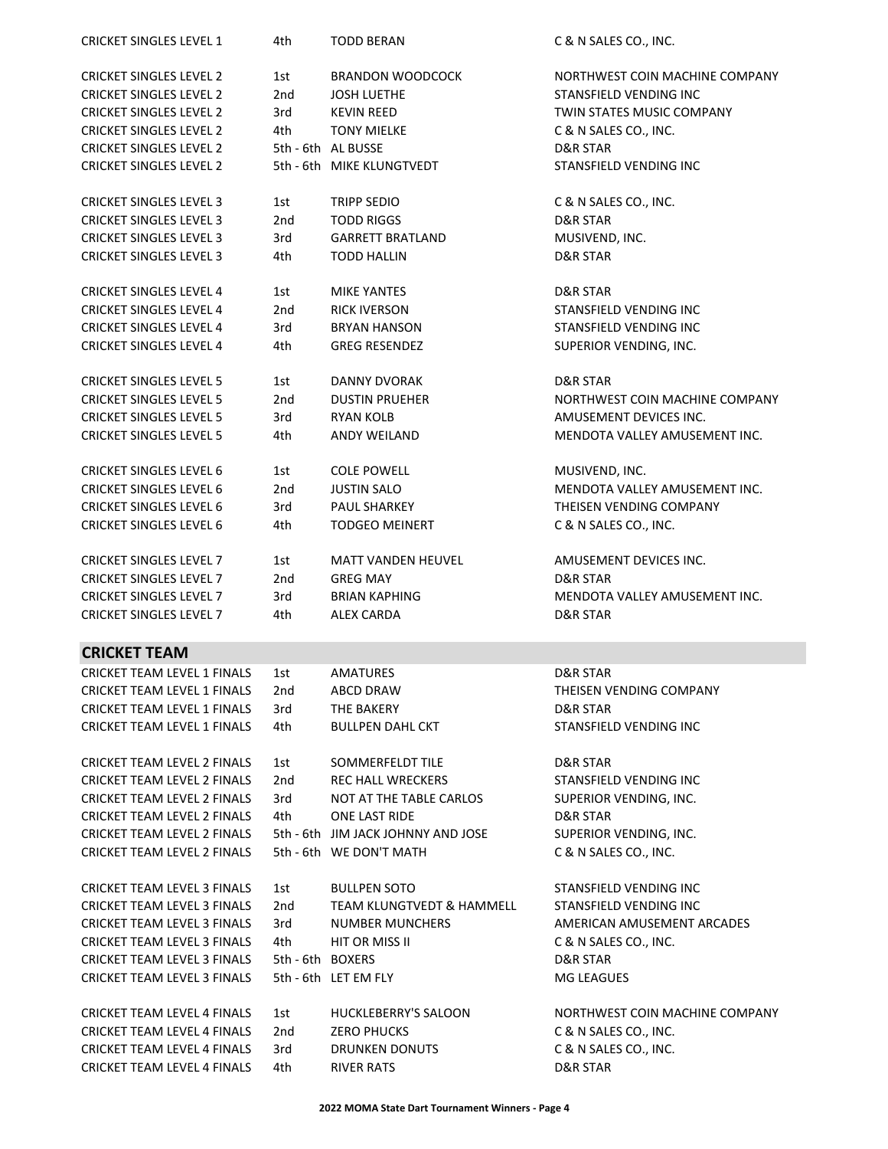| <b>CRICKET SINGLES LEVEL 1</b>     | 4th              | <b>TODD BERAN</b>                  | C & N SALES CO., INC.          |
|------------------------------------|------------------|------------------------------------|--------------------------------|
| <b>CRICKET SINGLES LEVEL 2</b>     | 1st              | <b>BRANDON WOODCOCK</b>            | NORTHWEST COIN MACHINE COMPANY |
| <b>CRICKET SINGLES LEVEL 2</b>     | 2nd              | <b>JOSH LUETHE</b>                 | STANSFIELD VENDING INC         |
| <b>CRICKET SINGLES LEVEL 2</b>     | 3rd              | <b>KEVIN REED</b>                  | TWIN STATES MUSIC COMPANY      |
| <b>CRICKET SINGLES LEVEL 2</b>     | 4th              | <b>TONY MIELKE</b>                 | C & N SALES CO., INC.          |
| <b>CRICKET SINGLES LEVEL 2</b>     |                  | 5th - 6th AL BUSSE                 | D&R STAR                       |
| <b>CRICKET SINGLES LEVEL 2</b>     |                  | 5th - 6th MIKE KLUNGTVEDT          | STANSFIELD VENDING INC         |
|                                    |                  |                                    |                                |
| <b>CRICKET SINGLES LEVEL 3</b>     | 1st              | <b>TRIPP SEDIO</b>                 | C & N SALES CO., INC.          |
| <b>CRICKET SINGLES LEVEL 3</b>     | 2nd              | <b>TODD RIGGS</b>                  | D&R STAR                       |
| <b>CRICKET SINGLES LEVEL 3</b>     | 3rd              | <b>GARRETT BRATLAND</b>            | MUSIVEND, INC.                 |
| <b>CRICKET SINGLES LEVEL 3</b>     | 4th              | <b>TODD HALLIN</b>                 | D&R STAR                       |
|                                    |                  |                                    |                                |
| <b>CRICKET SINGLES LEVEL 4</b>     | 1st              | <b>MIKE YANTES</b>                 | D&R STAR                       |
| <b>CRICKET SINGLES LEVEL 4</b>     | 2nd              | <b>RICK IVERSON</b>                | STANSFIELD VENDING INC         |
| <b>CRICKET SINGLES LEVEL 4</b>     | 3rd              | <b>BRYAN HANSON</b>                | STANSFIELD VENDING INC         |
| <b>CRICKET SINGLES LEVEL 4</b>     | 4th              | <b>GREG RESENDEZ</b>               | SUPERIOR VENDING, INC.         |
| <b>CRICKET SINGLES LEVEL 5</b>     | 1st              | <b>DANNY DVORAK</b>                | D&R STAR                       |
| <b>CRICKET SINGLES LEVEL 5</b>     | 2nd              | <b>DUSTIN PRUEHER</b>              | NORTHWEST COIN MACHINE COMPANY |
| <b>CRICKET SINGLES LEVEL 5</b>     | 3rd              | <b>RYAN KOLB</b>                   | AMUSEMENT DEVICES INC.         |
| <b>CRICKET SINGLES LEVEL 5</b>     | 4th              | <b>ANDY WEILAND</b>                | MENDOTA VALLEY AMUSEMENT INC.  |
|                                    |                  |                                    |                                |
| <b>CRICKET SINGLES LEVEL 6</b>     | 1st              | <b>COLE POWELL</b>                 | MUSIVEND, INC.                 |
| <b>CRICKET SINGLES LEVEL 6</b>     | 2nd              | <b>JUSTIN SALO</b>                 | MENDOTA VALLEY AMUSEMENT INC.  |
| <b>CRICKET SINGLES LEVEL 6</b>     | 3rd              | PAUL SHARKEY                       | THEISEN VENDING COMPANY        |
| <b>CRICKET SINGLES LEVEL 6</b>     | 4th              | <b>TODGEO MEINERT</b>              | C & N SALES CO., INC.          |
|                                    |                  |                                    |                                |
| <b>CRICKET SINGLES LEVEL 7</b>     | 1st              | <b>MATT VANDEN HEUVEL</b>          | AMUSEMENT DEVICES INC.         |
| <b>CRICKET SINGLES LEVEL 7</b>     | 2nd              | <b>GREG MAY</b>                    | D&R STAR                       |
| <b>CRICKET SINGLES LEVEL 7</b>     | 3rd              | <b>BRIAN KAPHING</b>               | MENDOTA VALLEY AMUSEMENT INC.  |
| <b>CRICKET SINGLES LEVEL 7</b>     | 4th              | <b>ALEX CARDA</b>                  | D&R STAR                       |
| <b>CRICKET TEAM</b>                |                  |                                    |                                |
| <b>CRICKET TEAM LEVEL 1 FINALS</b> | 1st              | AMATURES                           | D&R STAR                       |
| <b>CRICKET TEAM LEVEL 1 FINALS</b> | 2nd              | ABCD DRAW                          | THEISEN VENDING COMPANY        |
| <b>CRICKET TEAM LEVEL 1 FINALS</b> | 3rd              | THE BAKERY                         | D&R STAR                       |
| <b>CRICKET TEAM LEVEL 1 FINALS</b> | 4th              | <b>BULLPEN DAHL CKT</b>            | STANSFIELD VENDING INC         |
|                                    |                  |                                    |                                |
| <b>CRICKET TEAM LEVEL 2 FINALS</b> | 1st              | SOMMERFELDT TILE                   | D&R STAR                       |
| <b>CRICKET TEAM LEVEL 2 FINALS</b> | 2nd              | <b>REC HALL WRECKERS</b>           | STANSFIELD VENDING INC         |
| <b>CRICKET TEAM LEVEL 2 FINALS</b> | 3rd              | NOT AT THE TABLE CARLOS            | SUPERIOR VENDING, INC.         |
| <b>CRICKET TEAM LEVEL 2 FINALS</b> | 4th              | ONE LAST RIDE                      | D&R STAR                       |
| <b>CRICKET TEAM LEVEL 2 FINALS</b> |                  | 5th - 6th JIM JACK JOHNNY AND JOSE | SUPERIOR VENDING, INC.         |
| CRICKET TEAM LEVEL 2 FINALS        |                  | 5th - 6th WE DON'T MATH            | C & N SALES CO., INC.          |
| <b>CRICKET TEAM LEVEL 3 FINALS</b> | 1st              | <b>BULLPEN SOTO</b>                | STANSFIELD VENDING INC         |
|                                    |                  |                                    |                                |
| <b>CRICKET TEAM LEVEL 3 FINALS</b> | 2nd              | TEAM KLUNGTVEDT & HAMMELL          | STANSFIELD VENDING INC         |
| <b>CRICKET TEAM LEVEL 3 FINALS</b> | 3rd              | <b>NUMBER MUNCHERS</b>             | AMERICAN AMUSEMENT ARCADES     |
| <b>CRICKET TEAM LEVEL 3 FINALS</b> | 4th              | HIT OR MISS II                     | C & N SALES CO., INC.          |
| <b>CRICKET TEAM LEVEL 3 FINALS</b> | 5th - 6th BOXERS |                                    | D&R STAR                       |
| <b>CRICKET TEAM LEVEL 3 FINALS</b> |                  | 5th - 6th LET EM FLY               | MG LEAGUES                     |
| <b>CRICKET TEAM LEVEL 4 FINALS</b> | 1st              | <b>HUCKLEBERRY'S SALOON</b>        | NORTHWEST COIN MACHINE COMPANY |
| <b>CRICKET TEAM LEVEL 4 FINALS</b> | 2nd              | <b>ZERO PHUCKS</b>                 | C & N SALES CO., INC.          |
| CRICKET TEAM LEVEL 4 FINALS        | 3rd              | <b>DRUNKEN DONUTS</b>              | C & N SALES CO., INC.          |
| <b>CRICKET TEAM LEVEL 4 FINALS</b> | 4th              | <b>RIVER RATS</b>                  | D&R STAR                       |
|                                    |                  |                                    |                                |